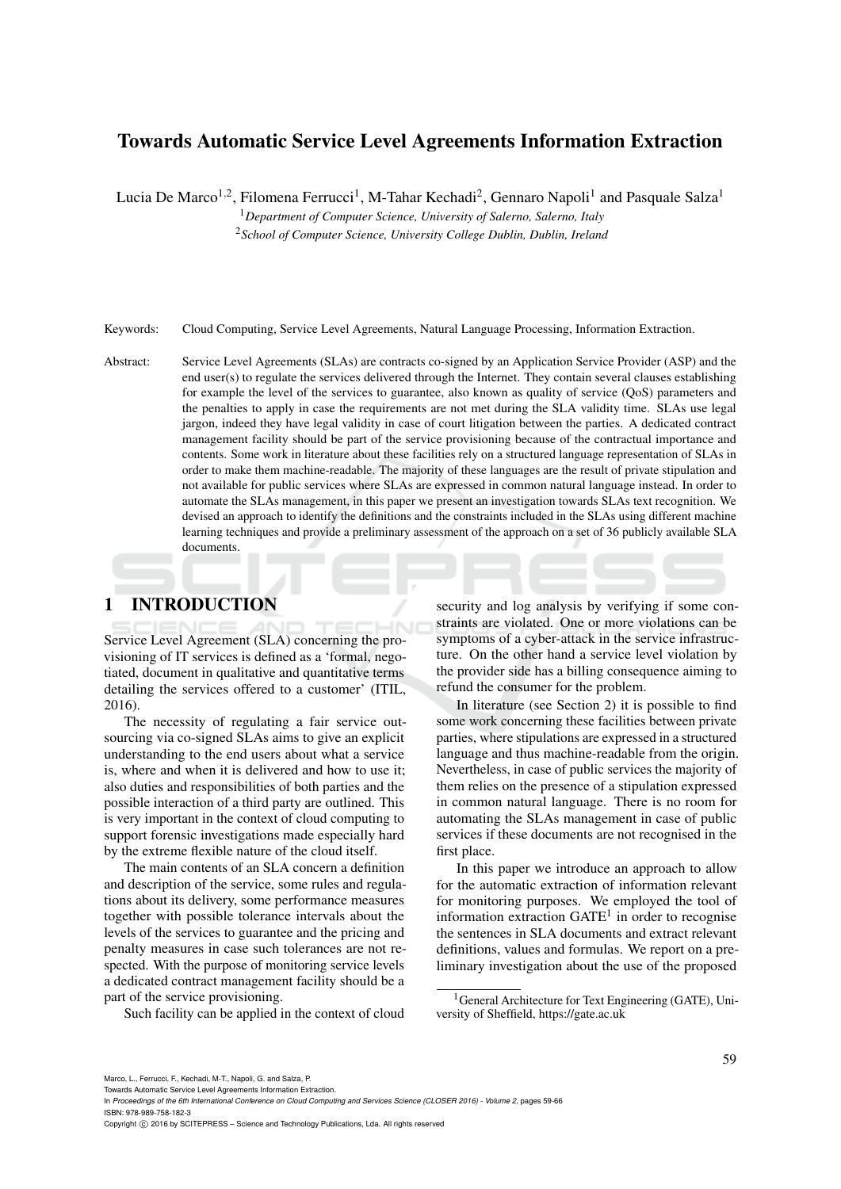# Towards Automatic Service Level Agreements Information Extraction

Lucia De Marco<sup>1,2</sup>, Filomena Ferrucci<sup>1</sup>, M-Tahar Kechadi<sup>2</sup>, Gennaro Napoli<sup>1</sup> and Pasquale Salza<sup>1</sup>

<sup>1</sup>*Department of Computer Science, University of Salerno, Salerno, Italy*

<sup>2</sup>*School of Computer Science, University College Dublin, Dublin, Ireland*

Keywords: Cloud Computing, Service Level Agreements, Natural Language Processing, Information Extraction.

Abstract: Service Level Agreements (SLAs) are contracts co-signed by an Application Service Provider (ASP) and the end user(s) to regulate the services delivered through the Internet. They contain several clauses establishing for example the level of the services to guarantee, also known as quality of service (QoS) parameters and the penalties to apply in case the requirements are not met during the SLA validity time. SLAs use legal jargon, indeed they have legal validity in case of court litigation between the parties. A dedicated contract management facility should be part of the service provisioning because of the contractual importance and contents. Some work in literature about these facilities rely on a structured language representation of SLAs in order to make them machine-readable. The majority of these languages are the result of private stipulation and not available for public services where SLAs are expressed in common natural language instead. In order to automate the SLAs management, in this paper we present an investigation towards SLAs text recognition. We devised an approach to identify the definitions and the constraints included in the SLAs using different machine learning techniques and provide a preliminary assessment of the approach on a set of 36 publicly available SLA documents.

# 1 INTRODUCTION

Service Level Agreement (SLA) concerning the provisioning of IT services is defined as a 'formal, negotiated, document in qualitative and quantitative terms detailing the services offered to a customer' (ITIL, 2016).

The necessity of regulating a fair service outsourcing via co-signed SLAs aims to give an explicit understanding to the end users about what a service is, where and when it is delivered and how to use it; also duties and responsibilities of both parties and the possible interaction of a third party are outlined. This is very important in the context of cloud computing to support forensic investigations made especially hard by the extreme flexible nature of the cloud itself.

The main contents of an SLA concern a definition and description of the service, some rules and regulations about its delivery, some performance measures together with possible tolerance intervals about the levels of the services to guarantee and the pricing and penalty measures in case such tolerances are not respected. With the purpose of monitoring service levels a dedicated contract management facility should be a part of the service provisioning.

Such facility can be applied in the context of cloud

security and log analysis by verifying if some constraints are violated. One or more violations can be symptoms of a cyber-attack in the service infrastructure. On the other hand a service level violation by the provider side has a billing consequence aiming to refund the consumer for the problem.

In literature (see Section 2) it is possible to find some work concerning these facilities between private parties, where stipulations are expressed in a structured language and thus machine-readable from the origin. Nevertheless, in case of public services the majority of them relies on the presence of a stipulation expressed in common natural language. There is no room for automating the SLAs management in case of public services if these documents are not recognised in the first place.

In this paper we introduce an approach to allow for the automatic extraction of information relevant for monitoring purposes. We employed the tool of information extraction GATE<sup>1</sup> in order to recognise the sentences in SLA documents and extract relevant definitions, values and formulas. We report on a preliminary investigation about the use of the proposed

Copyright C 2016 by SCITEPRESS - Science and Technology Publications, Lda. All rights reserved

<sup>&</sup>lt;sup>1</sup>General Architecture for Text Engineering (GATE), University of Sheffield, https://gate.ac.uk

Towards Automatic Service Level Agreements Information Extraction.

In *Proceedings of the 6th International Conference on Cloud Computing and Services Science (CLOSER 2016) - Volume 2*, pages 59-66 ISBN: 978-989-758-182-3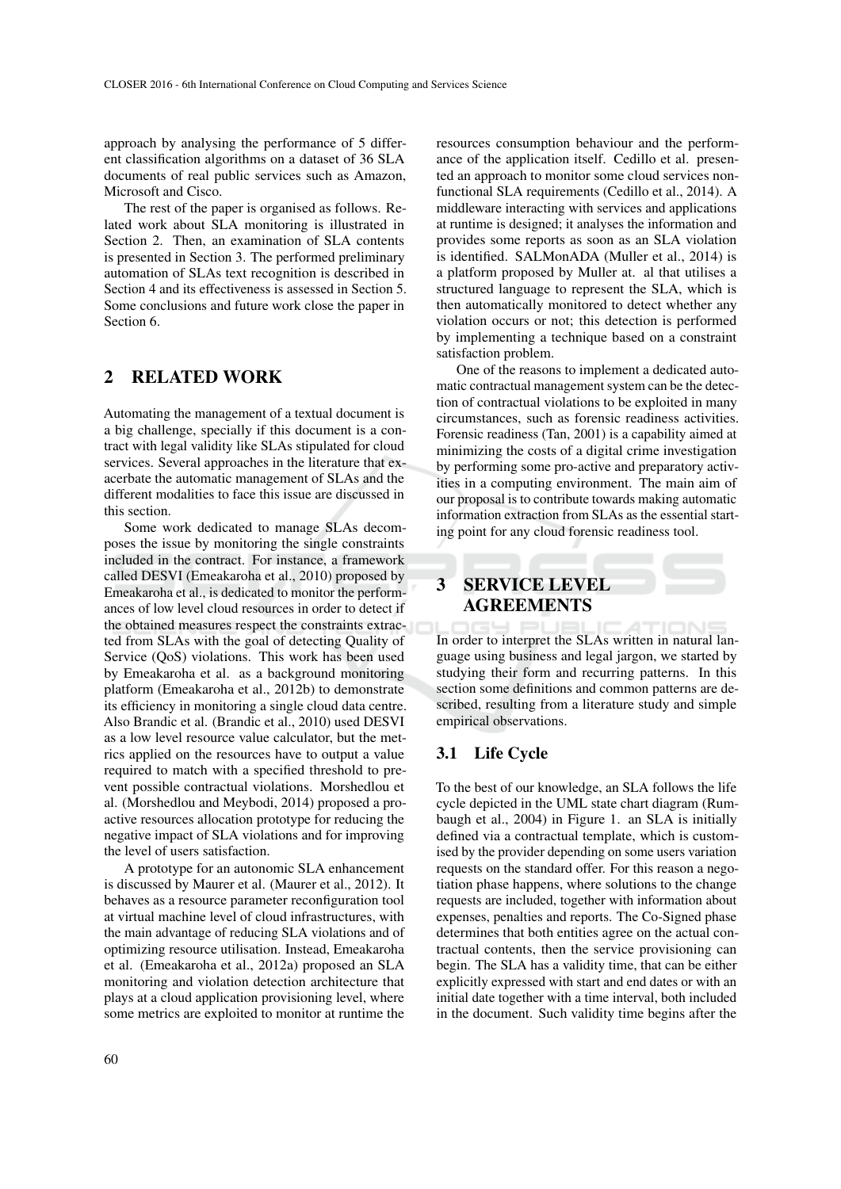approach by analysing the performance of 5 different classification algorithms on a dataset of 36 SLA documents of real public services such as Amazon, Microsoft and Cisco.

The rest of the paper is organised as follows. Related work about SLA monitoring is illustrated in Section 2. Then, an examination of SLA contents is presented in Section 3. The performed preliminary automation of SLAs text recognition is described in Section 4 and its effectiveness is assessed in Section 5. Some conclusions and future work close the paper in Section 6.

## 2 RELATED WORK

Automating the management of a textual document is a big challenge, specially if this document is a contract with legal validity like SLAs stipulated for cloud services. Several approaches in the literature that exacerbate the automatic management of SLAs and the different modalities to face this issue are discussed in this section.

Some work dedicated to manage SLAs decomposes the issue by monitoring the single constraints included in the contract. For instance, a framework called DESVI (Emeakaroha et al., 2010) proposed by Emeakaroha et al., is dedicated to monitor the performances of low level cloud resources in order to detect if the obtained measures respect the constraints extracted from SLAs with the goal of detecting Quality of Service (QoS) violations. This work has been used by Emeakaroha et al. as a background monitoring platform (Emeakaroha et al., 2012b) to demonstrate its efficiency in monitoring a single cloud data centre. Also Brandic et al. (Brandic et al., 2010) used DESVI as a low level resource value calculator, but the metrics applied on the resources have to output a value required to match with a specified threshold to prevent possible contractual violations. Morshedlou et al. (Morshedlou and Meybodi, 2014) proposed a proactive resources allocation prototype for reducing the negative impact of SLA violations and for improving the level of users satisfaction.

A prototype for an autonomic SLA enhancement is discussed by Maurer et al. (Maurer et al., 2012). It behaves as a resource parameter reconfiguration tool at virtual machine level of cloud infrastructures, with the main advantage of reducing SLA violations and of optimizing resource utilisation. Instead, Emeakaroha et al. (Emeakaroha et al., 2012a) proposed an SLA monitoring and violation detection architecture that plays at a cloud application provisioning level, where some metrics are exploited to monitor at runtime the

resources consumption behaviour and the performance of the application itself. Cedillo et al. presented an approach to monitor some cloud services nonfunctional SLA requirements (Cedillo et al., 2014). A middleware interacting with services and applications at runtime is designed; it analyses the information and provides some reports as soon as an SLA violation is identified. SALMonADA (Muller et al., 2014) is a platform proposed by Muller at. al that utilises a structured language to represent the SLA, which is then automatically monitored to detect whether any violation occurs or not; this detection is performed by implementing a technique based on a constraint satisfaction problem.

One of the reasons to implement a dedicated automatic contractual management system can be the detection of contractual violations to be exploited in many circumstances, such as forensic readiness activities. Forensic readiness (Tan, 2001) is a capability aimed at minimizing the costs of a digital crime investigation by performing some pro-active and preparatory activities in a computing environment. The main aim of our proposal is to contribute towards making automatic information extraction from SLAs as the essential starting point for any cloud forensic readiness tool.

## 3 SERVICE LEVEL AGREEMENTS

In order to interpret the SLAs written in natural language using business and legal jargon, we started by studying their form and recurring patterns. In this section some definitions and common patterns are described, resulting from a literature study and simple empirical observations.

### 3.1 Life Cycle

To the best of our knowledge, an SLA follows the life cycle depicted in the UML state chart diagram (Rumbaugh et al., 2004) in Figure 1. an SLA is initially defined via a contractual template, which is customised by the provider depending on some users variation requests on the standard offer. For this reason a negotiation phase happens, where solutions to the change requests are included, together with information about expenses, penalties and reports. The Co-Signed phase determines that both entities agree on the actual contractual contents, then the service provisioning can begin. The SLA has a validity time, that can be either explicitly expressed with start and end dates or with an initial date together with a time interval, both included in the document. Such validity time begins after the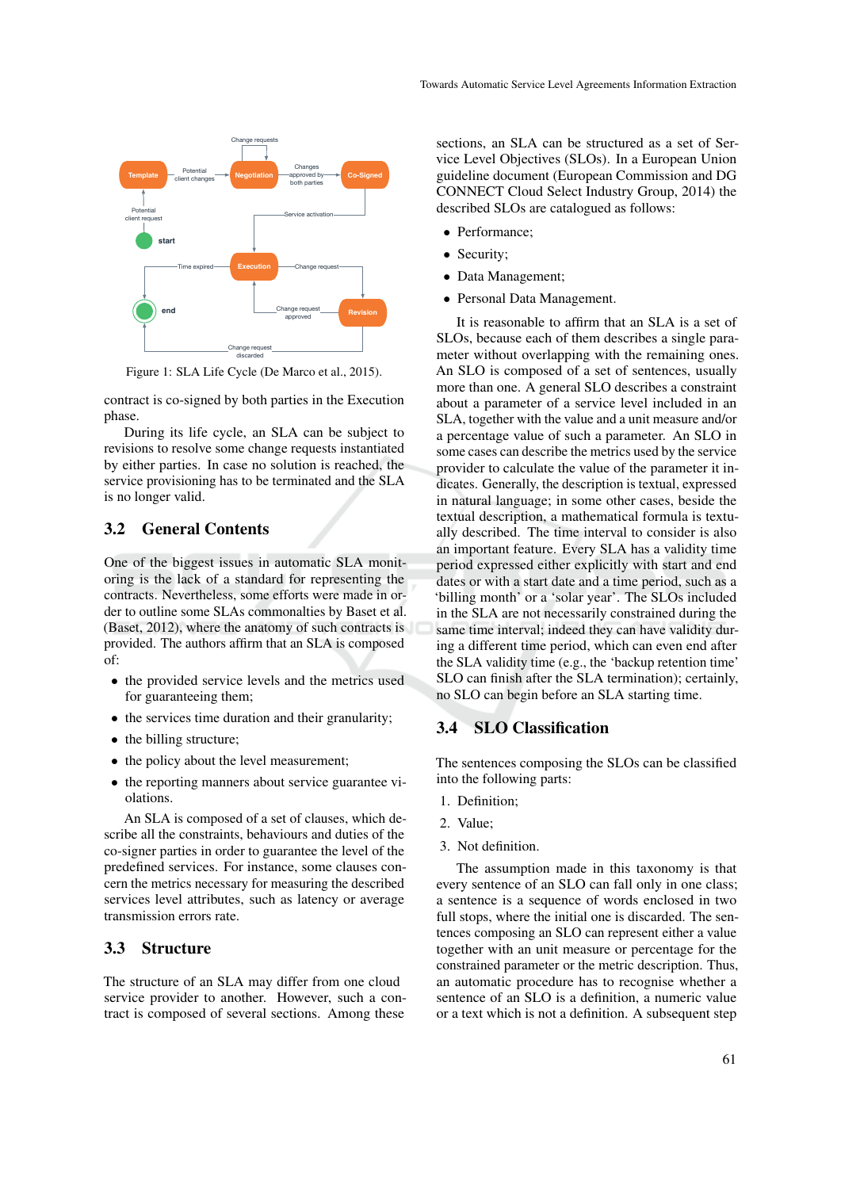

Figure 1: SLA Life Cycle (De Marco et al., 2015).

contract is co-signed by both parties in the Execution phase.

During its life cycle, an SLA can be subject to revisions to resolve some change requests instantiated by either parties. In case no solution is reached, the service provisioning has to be terminated and the SLA is no longer valid.

### 3.2 General Contents

One of the biggest issues in automatic SLA monitoring is the lack of a standard for representing the contracts. Nevertheless, some efforts were made in order to outline some SLAs commonalties by Baset et al. (Baset, 2012), where the anatomy of such contracts is provided. The authors affirm that an SLA is composed of:

- the provided service levels and the metrics used for guaranteeing them;
- the services time duration and their granularity;
- the billing structure;
- the policy about the level measurement;
- the reporting manners about service guarantee violations.

An SLA is composed of a set of clauses, which describe all the constraints, behaviours and duties of the co-signer parties in order to guarantee the level of the predefined services. For instance, some clauses concern the metrics necessary for measuring the described services level attributes, such as latency or average transmission errors rate.

## 3.3 Structure

The structure of an SLA may differ from one cloud service provider to another. However, such a contract is composed of several sections. Among these

sections, an SLA can be structured as a set of Service Level Objectives (SLOs). In a European Union guideline document (European Commission and DG CONNECT Cloud Select Industry Group, 2014) the described SLOs are catalogued as follows:

- Performance;
- Security;
- Data Management;
- Personal Data Management.

It is reasonable to affirm that an SLA is a set of SLOs, because each of them describes a single parameter without overlapping with the remaining ones. An SLO is composed of a set of sentences, usually more than one. A general SLO describes a constraint about a parameter of a service level included in an SLA, together with the value and a unit measure and/or a percentage value of such a parameter. An SLO in some cases can describe the metrics used by the service provider to calculate the value of the parameter it indicates. Generally, the description is textual, expressed in natural language; in some other cases, beside the textual description, a mathematical formula is textually described. The time interval to consider is also an important feature. Every SLA has a validity time period expressed either explicitly with start and end dates or with a start date and a time period, such as a 'billing month' or a 'solar year'. The SLOs included in the SLA are not necessarily constrained during the same time interval; indeed they can have validity during a different time period, which can even end after the SLA validity time (e.g., the 'backup retention time' SLO can finish after the SLA termination); certainly, no SLO can begin before an SLA starting time.

#### 3.4 SLO Classification

The sentences composing the SLOs can be classified into the following parts:

- 1. Definition;
- 2. Value;
- 3. Not definition.

The assumption made in this taxonomy is that every sentence of an SLO can fall only in one class; a sentence is a sequence of words enclosed in two full stops, where the initial one is discarded. The sentences composing an SLO can represent either a value together with an unit measure or percentage for the constrained parameter or the metric description. Thus, an automatic procedure has to recognise whether a sentence of an SLO is a definition, a numeric value or a text which is not a definition. A subsequent step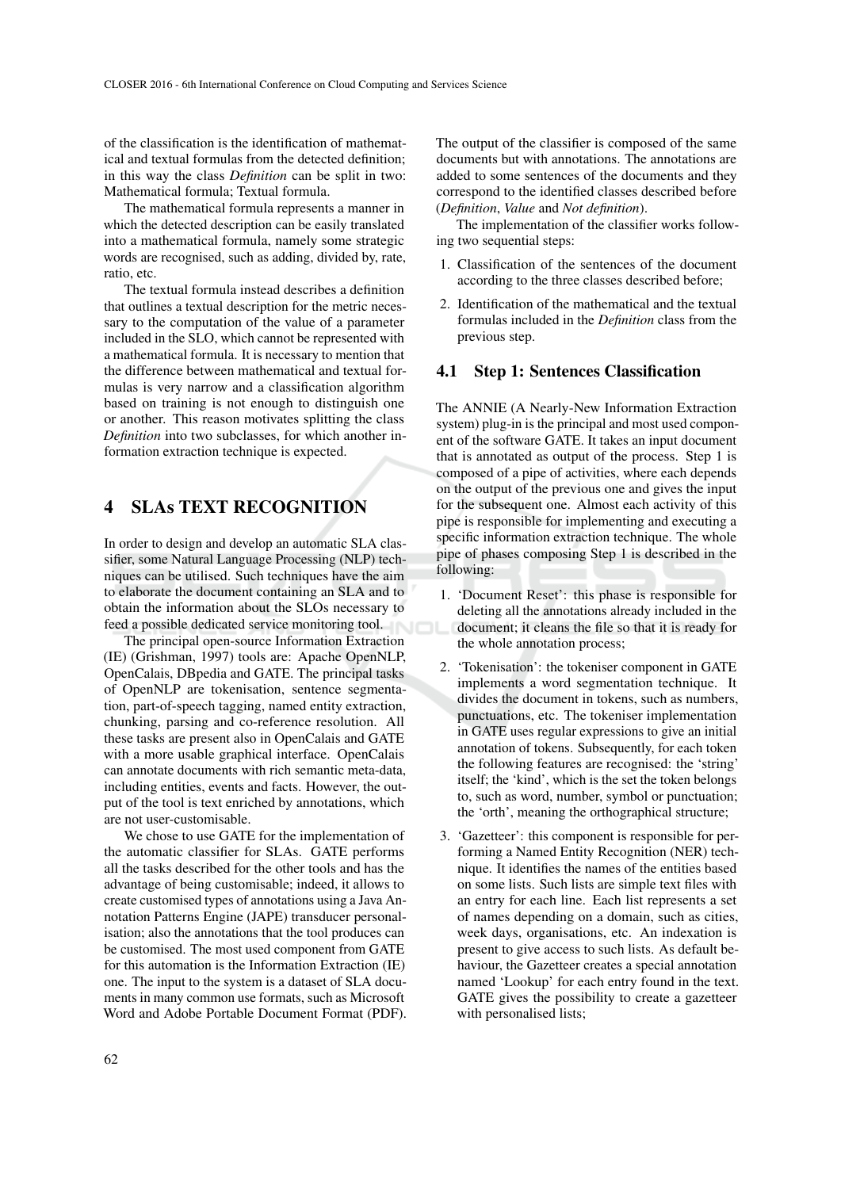of the classification is the identification of mathematical and textual formulas from the detected definition; in this way the class *Definition* can be split in two: Mathematical formula; Textual formula.

The mathematical formula represents a manner in which the detected description can be easily translated into a mathematical formula, namely some strategic words are recognised, such as adding, divided by, rate, ratio, etc.

The textual formula instead describes a definition that outlines a textual description for the metric necessary to the computation of the value of a parameter included in the SLO, which cannot be represented with a mathematical formula. It is necessary to mention that the difference between mathematical and textual formulas is very narrow and a classification algorithm based on training is not enough to distinguish one or another. This reason motivates splitting the class *Definition* into two subclasses, for which another information extraction technique is expected.

# 4 SLAs TEXT RECOGNITION

In order to design and develop an automatic SLA classifier, some Natural Language Processing (NLP) techniques can be utilised. Such techniques have the aim to elaborate the document containing an SLA and to obtain the information about the SLOs necessary to feed a possible dedicated service monitoring tool.

The principal open-source Information Extraction (IE) (Grishman, 1997) tools are: Apache OpenNLP, OpenCalais, DBpedia and GATE. The principal tasks of OpenNLP are tokenisation, sentence segmentation, part-of-speech tagging, named entity extraction, chunking, parsing and co-reference resolution. All these tasks are present also in OpenCalais and GATE with a more usable graphical interface. OpenCalais can annotate documents with rich semantic meta-data, including entities, events and facts. However, the output of the tool is text enriched by annotations, which are not user-customisable.

We chose to use GATE for the implementation of the automatic classifier for SLAs. GATE performs all the tasks described for the other tools and has the advantage of being customisable; indeed, it allows to create customised types of annotations using a Java Annotation Patterns Engine (JAPE) transducer personalisation; also the annotations that the tool produces can be customised. The most used component from GATE for this automation is the Information Extraction (IE) one. The input to the system is a dataset of SLA documents in many common use formats, such as Microsoft Word and Adobe Portable Document Format (PDF). The output of the classifier is composed of the same documents but with annotations. The annotations are added to some sentences of the documents and they correspond to the identified classes described before (*Definition*, *Value* and *Not definition*).

The implementation of the classifier works following two sequential steps:

- 1. Classification of the sentences of the document according to the three classes described before;
- 2. Identification of the mathematical and the textual formulas included in the *Definition* class from the previous step.

#### 4.1 Step 1: Sentences Classification

The ANNIE (A Nearly-New Information Extraction system) plug-in is the principal and most used component of the software GATE. It takes an input document that is annotated as output of the process. Step 1 is composed of a pipe of activities, where each depends on the output of the previous one and gives the input for the subsequent one. Almost each activity of this pipe is responsible for implementing and executing a specific information extraction technique. The whole pipe of phases composing Step 1 is described in the following:

- 1. 'Document Reset': this phase is responsible for deleting all the annotations already included in the document; it cleans the file so that it is ready for the whole annotation process;
- 2. 'Tokenisation': the tokeniser component in GATE implements a word segmentation technique. It divides the document in tokens, such as numbers, punctuations, etc. The tokeniser implementation in GATE uses regular expressions to give an initial annotation of tokens. Subsequently, for each token the following features are recognised: the 'string' itself; the 'kind', which is the set the token belongs to, such as word, number, symbol or punctuation; the 'orth', meaning the orthographical structure;
- 3. 'Gazetteer': this component is responsible for performing a Named Entity Recognition (NER) technique. It identifies the names of the entities based on some lists. Such lists are simple text files with an entry for each line. Each list represents a set of names depending on a domain, such as cities, week days, organisations, etc. An indexation is present to give access to such lists. As default behaviour, the Gazetteer creates a special annotation named 'Lookup' for each entry found in the text. GATE gives the possibility to create a gazetteer with personalised lists;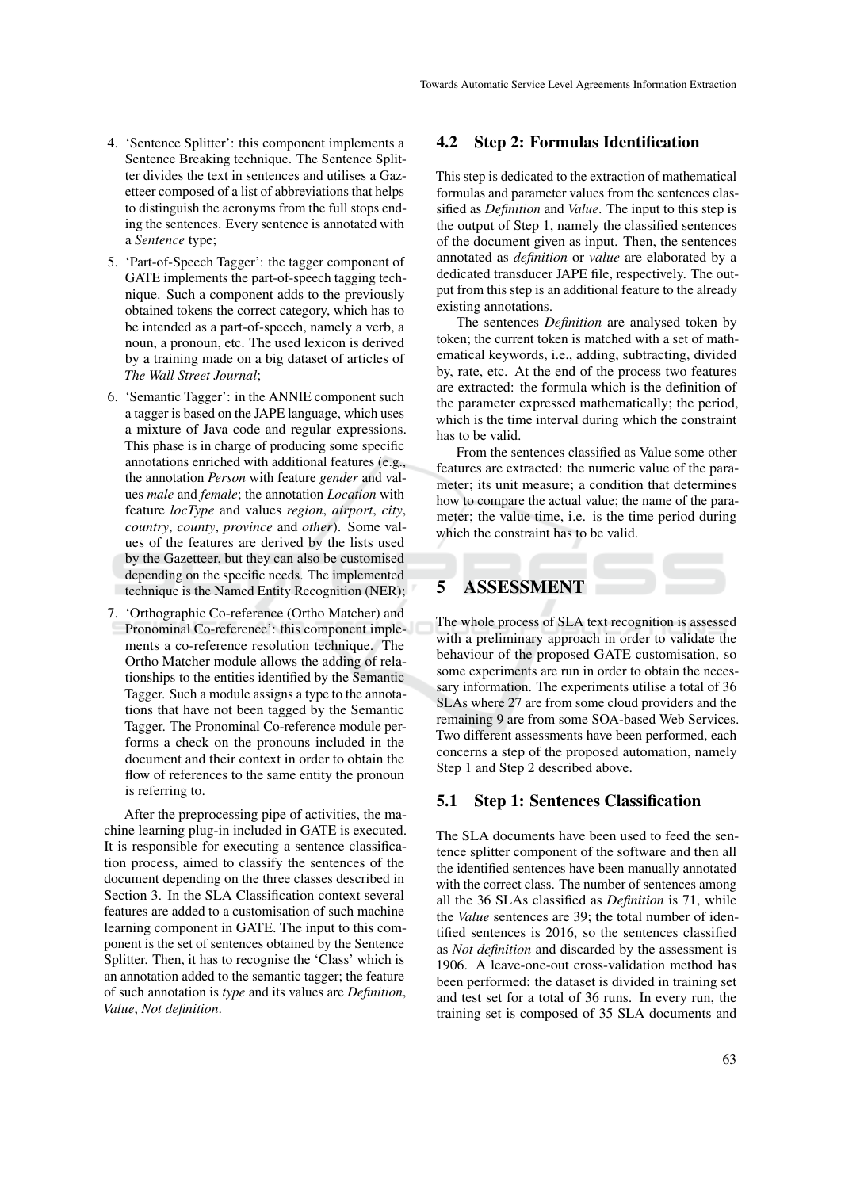- 4. 'Sentence Splitter': this component implements a Sentence Breaking technique. The Sentence Splitter divides the text in sentences and utilises a Gazetteer composed of a list of abbreviations that helps to distinguish the acronyms from the full stops ending the sentences. Every sentence is annotated with a *Sentence* type;
- 5. 'Part-of-Speech Tagger': the tagger component of GATE implements the part-of-speech tagging technique. Such a component adds to the previously obtained tokens the correct category, which has to be intended as a part-of-speech, namely a verb, a noun, a pronoun, etc. The used lexicon is derived by a training made on a big dataset of articles of *The Wall Street Journal*;
- 6. 'Semantic Tagger': in the ANNIE component such a tagger is based on the JAPE language, which uses a mixture of Java code and regular expressions. This phase is in charge of producing some specific annotations enriched with additional features (e.g., the annotation *Person* with feature *gender* and values *male* and *female*; the annotation *Location* with feature *locType* and values *region*, *airport*, *city*, *country*, *county*, *province* and *other*). Some values of the features are derived by the lists used by the Gazetteer, but they can also be customised depending on the specific needs. The implemented technique is the Named Entity Recognition (NER);
- 7. 'Orthographic Co-reference (Ortho Matcher) and Pronominal Co-reference': this component implements a co-reference resolution technique. The Ortho Matcher module allows the adding of relationships to the entities identified by the Semantic Tagger. Such a module assigns a type to the annotations that have not been tagged by the Semantic Tagger. The Pronominal Co-reference module performs a check on the pronouns included in the document and their context in order to obtain the flow of references to the same entity the pronoun is referring to.

After the preprocessing pipe of activities, the machine learning plug-in included in GATE is executed. It is responsible for executing a sentence classification process, aimed to classify the sentences of the document depending on the three classes described in Section 3. In the SLA Classification context several features are added to a customisation of such machine learning component in GATE. The input to this component is the set of sentences obtained by the Sentence Splitter. Then, it has to recognise the 'Class' which is an annotation added to the semantic tagger; the feature of such annotation is *type* and its values are *Definition*, *Value*, *Not definition*.

#### 4.2 Step 2: Formulas Identification

This step is dedicated to the extraction of mathematical formulas and parameter values from the sentences classified as *Definition* and *Value*. The input to this step is the output of Step 1, namely the classified sentences of the document given as input. Then, the sentences annotated as *definition* or *value* are elaborated by a dedicated transducer JAPE file, respectively. The output from this step is an additional feature to the already existing annotations.

The sentences *Definition* are analysed token by token; the current token is matched with a set of mathematical keywords, i.e., adding, subtracting, divided by, rate, etc. At the end of the process two features are extracted: the formula which is the definition of the parameter expressed mathematically; the period, which is the time interval during which the constraint has to be valid.

From the sentences classified as Value some other features are extracted: the numeric value of the parameter; its unit measure; a condition that determines how to compare the actual value; the name of the parameter; the value time, i.e. is the time period during which the constraint has to be valid.

## 5 ASSESSMENT

The whole process of SLA text recognition is assessed with a preliminary approach in order to validate the behaviour of the proposed GATE customisation, so some experiments are run in order to obtain the necessary information. The experiments utilise a total of 36 SLAs where 27 are from some cloud providers and the remaining 9 are from some SOA-based Web Services. Two different assessments have been performed, each concerns a step of the proposed automation, namely Step 1 and Step 2 described above.

#### 5.1 Step 1: Sentences Classification

The SLA documents have been used to feed the sentence splitter component of the software and then all the identified sentences have been manually annotated with the correct class. The number of sentences among all the 36 SLAs classified as *Definition* is 71, while the *Value* sentences are 39; the total number of identified sentences is 2016, so the sentences classified as *Not definition* and discarded by the assessment is 1906. A leave-one-out cross-validation method has been performed: the dataset is divided in training set and test set for a total of 36 runs. In every run, the training set is composed of 35 SLA documents and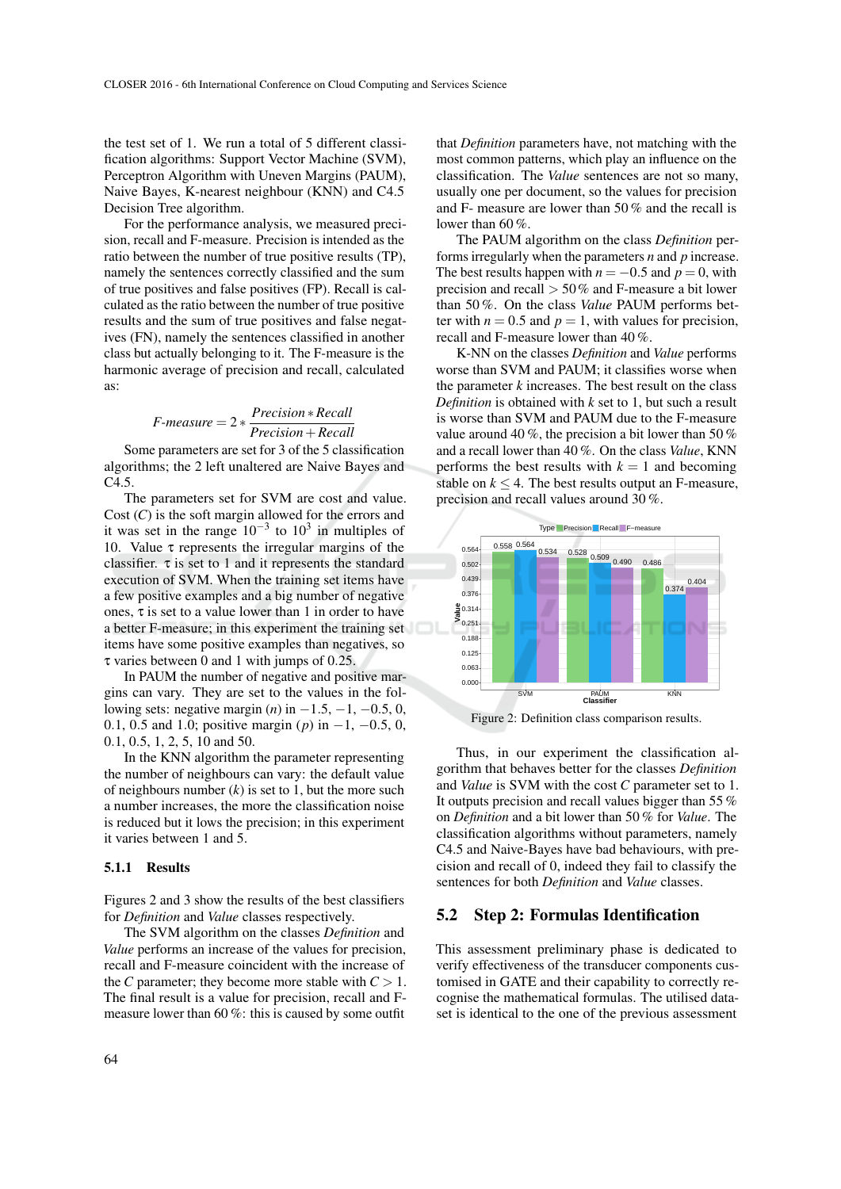the test set of 1. We run a total of 5 different classification algorithms: Support Vector Machine (SVM), Perceptron Algorithm with Uneven Margins (PAUM), Naive Bayes, K-nearest neighbour (KNN) and C4.5 Decision Tree algorithm.

For the performance analysis, we measured precision, recall and F-measure. Precision is intended as the ratio between the number of true positive results (TP), namely the sentences correctly classified and the sum of true positives and false positives (FP). Recall is calculated as the ratio between the number of true positive results and the sum of true positives and false negatives (FN), namely the sentences classified in another class but actually belonging to it. The F-measure is the harmonic average of precision and recall, calculated as:

$$
F-measure = 2 * \frac{Precision * Recall}{Precision + Recall}
$$

Some parameters are set for 3 of the 5 classification algorithms; the 2 left unaltered are Naive Bayes and C4.5.

The parameters set for SVM are cost and value. Cost (*C*) is the soft margin allowed for the errors and it was set in the range  $10^{-3}$  to  $10^3$  in multiples of 10. Value  $\tau$  represents the irregular margins of the classifier.  $\tau$  is set to 1 and it represents the standard execution of SVM. When the training set items have a few positive examples and a big number of negative ones, τ is set to a value lower than 1 in order to have a better F-measure; in this experiment the training set items have some positive examples than negatives, so τ varies between 0 and 1 with jumps of 0.25.

In PAUM the number of negative and positive margins can vary. They are set to the values in the following sets: negative margin  $(n)$  in  $-1.5, -1, -0.5, 0$ , 0.1, 0.5 and 1.0; positive margin (*p*) in −1, −0.5, 0, 0.1, 0.5, 1, 2, 5, 10 and 50.

In the KNN algorithm the parameter representing the number of neighbours can vary: the default value of neighbours number  $(k)$  is set to 1, but the more such a number increases, the more the classification noise is reduced but it lows the precision; in this experiment it varies between 1 and 5.

#### 5.1.1 Results

Figures 2 and 3 show the results of the best classifiers for *Definition* and *Value* classes respectively.

The SVM algorithm on the classes *Definition* and *Value* performs an increase of the values for precision, recall and F-measure coincident with the increase of the *C* parameter; they become more stable with  $C > 1$ . The final result is a value for precision, recall and Fmeasure lower than 60 %: this is caused by some outfit

that *Definition* parameters have, not matching with the most common patterns, which play an influence on the classification. The *Value* sentences are not so many, usually one per document, so the values for precision and F- measure are lower than 50 % and the recall is lower than 60 %.

The PAUM algorithm on the class *Definition* performs irregularly when the parameters *n* and *p* increase. The best results happen with  $n = -0.5$  and  $p = 0$ , with precision and recall  $> 50\%$  and F-measure a bit lower than 50 %. On the class *Value* PAUM performs better with  $n = 0.5$  and  $p = 1$ , with values for precision, recall and F-measure lower than 40 %.

K-NN on the classes *Definition* and *Value* performs worse than SVM and PAUM; it classifies worse when the parameter  $k$  increases. The best result on the class *Definition* is obtained with *k* set to 1, but such a result is worse than SVM and PAUM due to the F-measure value around 40 %, the precision a bit lower than 50 % and a recall lower than 40 %. On the class *Value*, KNN performs the best results with  $k = 1$  and becoming stable on  $k \leq 4$ . The best results output an F-measure, precision and recall values around 30 %.



Figure 2: Definition class comparison results.

Thus, in our experiment the classification algorithm that behaves better for the classes *Definition* and *Value* is SVM with the cost *C* parameter set to 1. It outputs precision and recall values bigger than 55 % on *Definition* and a bit lower than 50 % for *Value*. The classification algorithms without parameters, namely C4.5 and Naive-Bayes have bad behaviours, with precision and recall of 0, indeed they fail to classify the sentences for both *Definition* and *Value* classes.

#### 5.2 Step 2: Formulas Identification

This assessment preliminary phase is dedicated to verify effectiveness of the transducer components customised in GATE and their capability to correctly recognise the mathematical formulas. The utilised dataset is identical to the one of the previous assessment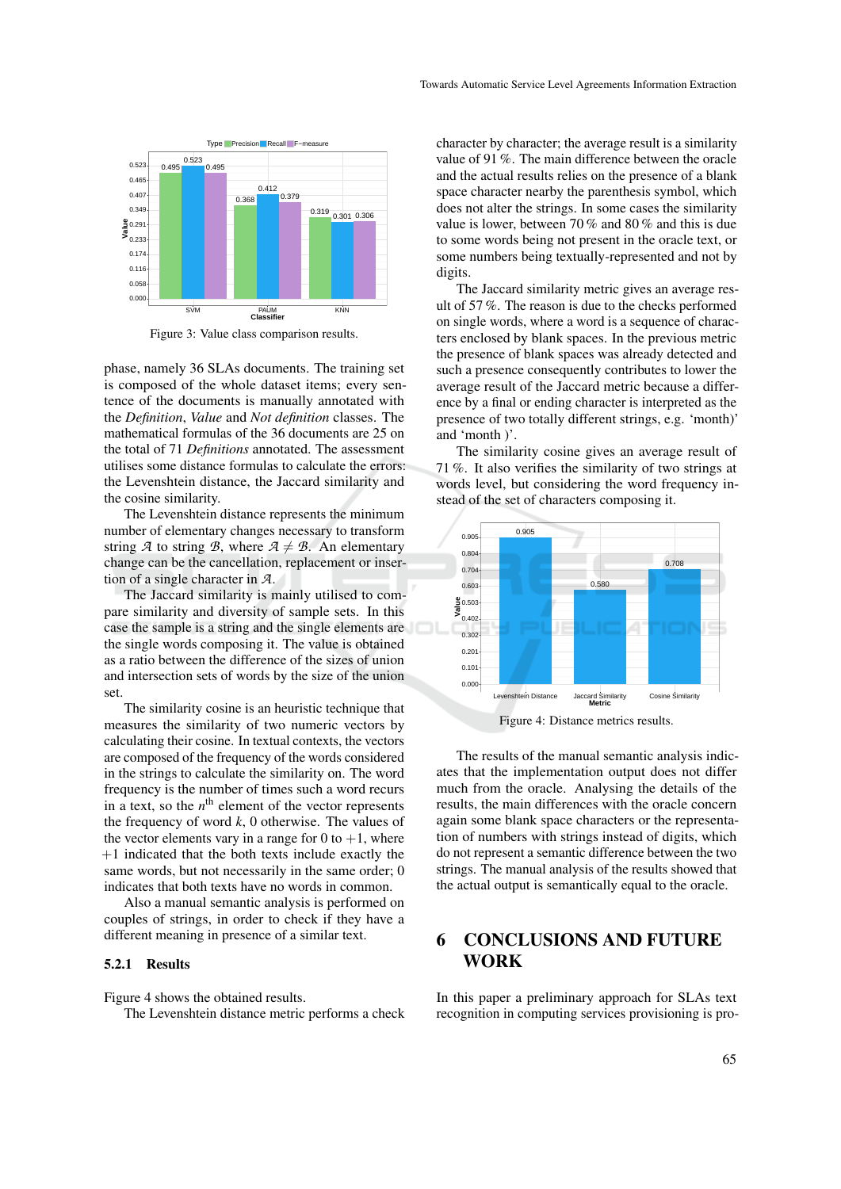

Figure 3: Value class comparison results.

phase, namely 36 SLAs documents. The training set is composed of the whole dataset items; every sentence of the documents is manually annotated with the *Definition*, *Value* and *Not definition* classes. The mathematical formulas of the 36 documents are 25 on the total of 71 *Definitions* annotated. The assessment utilises some distance formulas to calculate the errors: the Levenshtein distance, the Jaccard similarity and the cosine similarity.

The Levenshtein distance represents the minimum number of elementary changes necessary to transform string *A* to string *B*, where  $A \neq B$ . An elementary change can be the cancellation, replacement or insertion of a single character in *A*.

The Jaccard similarity is mainly utilised to compare similarity and diversity of sample sets. In this case the sample is a string and the single elements are the single words composing it. The value is obtained as a ratio between the difference of the sizes of union and intersection sets of words by the size of the union set.

The similarity cosine is an heuristic technique that measures the similarity of two numeric vectors by calculating their cosine. In textual contexts, the vectors are composed of the frequency of the words considered in the strings to calculate the similarity on. The word frequency is the number of times such a word recurs in a text, so the  $n^{\text{th}}$  element of the vector represents the frequency of word *k*, 0 otherwise. The values of the vector elements vary in a range for 0 to  $+1$ , where  $+1$  indicated that the both texts include exactly the same words, but not necessarily in the same order; 0 indicates that both texts have no words in common.

Also a manual semantic analysis is performed on couples of strings, in order to check if they have a different meaning in presence of a similar text.

#### 5.2.1 Results

Figure 4 shows the obtained results.

The Levenshtein distance metric performs a check

character by character; the average result is a similarity value of 91 %. The main difference between the oracle and the actual results relies on the presence of a blank space character nearby the parenthesis symbol, which does not alter the strings. In some cases the similarity value is lower, between 70 % and 80 % and this is due to some words being not present in the oracle text, or some numbers being textually-represented and not by digits.

The Jaccard similarity metric gives an average result of 57 %. The reason is due to the checks performed on single words, where a word is a sequence of characters enclosed by blank spaces. In the previous metric the presence of blank spaces was already detected and such a presence consequently contributes to lower the average result of the Jaccard metric because a difference by a final or ending character is interpreted as the presence of two totally different strings, e.g. 'month)' and 'month )'.

The similarity cosine gives an average result of 71 %. It also verifies the similarity of two strings at words level, but considering the word frequency instead of the set of characters composing it.



Figure 4: Distance metrics results.

The results of the manual semantic analysis indicates that the implementation output does not differ much from the oracle. Analysing the details of the results, the main differences with the oracle concern again some blank space characters or the representation of numbers with strings instead of digits, which do not represent a semantic difference between the two strings. The manual analysis of the results showed that the actual output is semantically equal to the oracle.

## 6 CONCLUSIONS AND FUTURE WORK

In this paper a preliminary approach for SLAs text recognition in computing services provisioning is pro